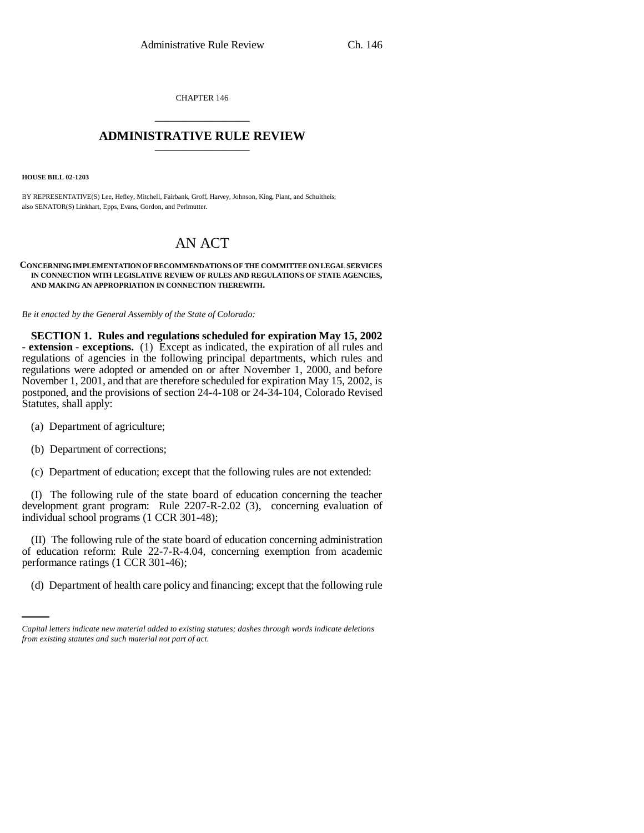CHAPTER 146 \_\_\_\_\_\_\_\_\_\_\_\_\_\_\_

## **ADMINISTRATIVE RULE REVIEW** \_\_\_\_\_\_\_\_\_\_\_\_\_\_\_

**HOUSE BILL 02-1203**

BY REPRESENTATIVE(S) Lee, Hefley, Mitchell, Fairbank, Groff, Harvey, Johnson, King, Plant, and Schultheis; also SENATOR(S) Linkhart, Epps, Evans, Gordon, and Perlmutter.

# AN ACT

#### **CONCERNING IMPLEMENTATION OF RECOMMENDATIONS OF THE COMMITTEE ON LEGAL SERVICES IN CONNECTION WITH LEGISLATIVE REVIEW OF RULES AND REGULATIONS OF STATE AGENCIES, AND MAKING AN APPROPRIATION IN CONNECTION THEREWITH.**

*Be it enacted by the General Assembly of the State of Colorado:*

**SECTION 1. Rules and regulations scheduled for expiration May 15, 2002 - extension - exceptions.** (1) Except as indicated, the expiration of all rules and regulations of agencies in the following principal departments, which rules and regulations were adopted or amended on or after November 1, 2000, and before November 1, 2001, and that are therefore scheduled for expiration May 15, 2002, is postponed, and the provisions of section 24-4-108 or 24-34-104, Colorado Revised Statutes, shall apply:

- (a) Department of agriculture;
- (b) Department of corrections;
- (c) Department of education; except that the following rules are not extended:

(I) The following rule of the state board of education concerning the teacher development grant program: Rule 2207-R-2.02 (3), concerning evaluation of individual school programs (1 CCR 301-48);

performance ratings (1 CCR 301-46); (II) The following rule of the state board of education concerning administration of education reform: Rule 22-7-R-4.04, concerning exemption from academic

(d) Department of health care policy and financing; except that the following rule

*Capital letters indicate new material added to existing statutes; dashes through words indicate deletions from existing statutes and such material not part of act.*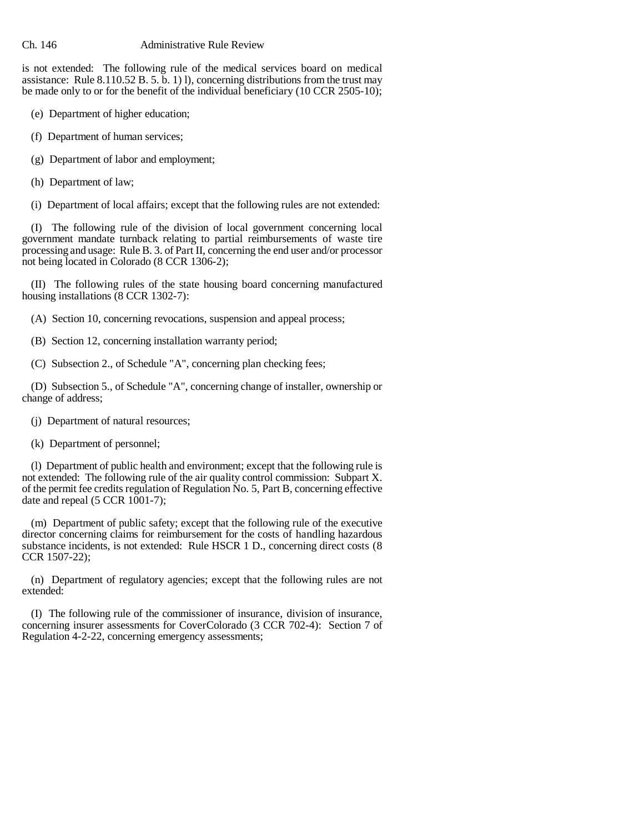is not extended: The following rule of the medical services board on medical assistance: Rule  $8.110.52$  B. 5. b. 1) l), concerning distributions from the trust may be made only to or for the benefit of the individual beneficiary (10 CCR 2505-10);

- (e) Department of higher education;
- (f) Department of human services;
- (g) Department of labor and employment;
- (h) Department of law;
- (i) Department of local affairs; except that the following rules are not extended:

(I) The following rule of the division of local government concerning local government mandate turnback relating to partial reimbursements of waste tire processing and usage: Rule B. 3. of Part II, concerning the end user and/or processor not being located in Colorado (8 CCR 1306-2);

(II) The following rules of the state housing board concerning manufactured housing installations (8 CCR 1302-7):

- (A) Section 10, concerning revocations, suspension and appeal process;
- (B) Section 12, concerning installation warranty period;
- (C) Subsection 2., of Schedule "A", concerning plan checking fees;

(D) Subsection 5., of Schedule "A", concerning change of installer, ownership or change of address;

- (j) Department of natural resources;
- (k) Department of personnel;

(l) Department of public health and environment; except that the following rule is not extended: The following rule of the air quality control commission: Subpart X. of the permit fee credits regulation of Regulation No. 5, Part B, concerning effective date and repeal  $(5$  CCR 1001-7);

(m) Department of public safety; except that the following rule of the executive director concerning claims for reimbursement for the costs of handling hazardous substance incidents, is not extended: Rule HSCR 1 D., concerning direct costs (8) CCR 1507-22);

(n) Department of regulatory agencies; except that the following rules are not extended:

(I) The following rule of the commissioner of insurance, division of insurance, concerning insurer assessments for CoverColorado (3 CCR 702-4): Section 7 of Regulation 4-2-22, concerning emergency assessments;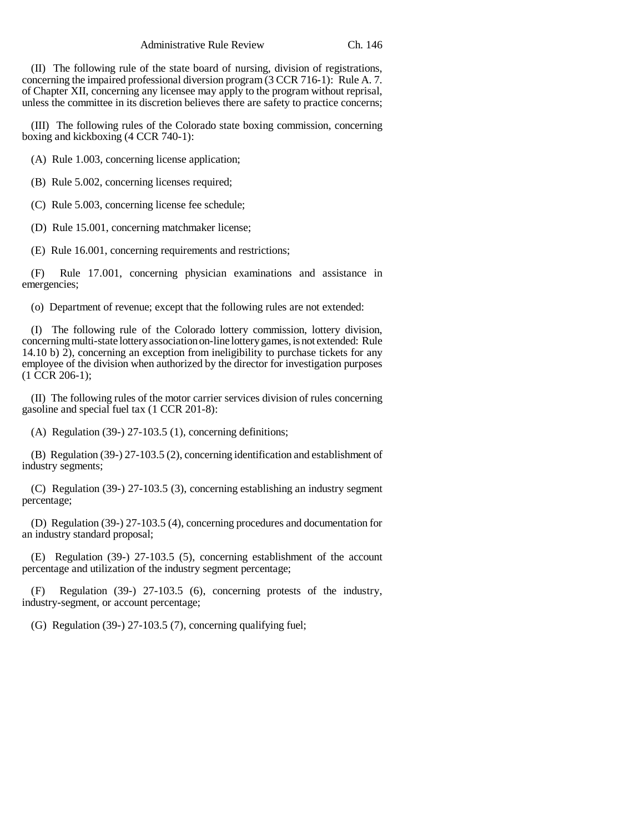Administrative Rule Review Ch. 146

(II) The following rule of the state board of nursing, division of registrations, concerning the impaired professional diversion program (3 CCR 716-1): Rule A. 7. of Chapter XII, concerning any licensee may apply to the program without reprisal, unless the committee in its discretion believes there are safety to practice concerns;

(III) The following rules of the Colorado state boxing commission, concerning boxing and kickboxing (4 CCR 740-1):

(A) Rule 1.003, concerning license application;

(B) Rule 5.002, concerning licenses required;

(C) Rule 5.003, concerning license fee schedule;

(D) Rule 15.001, concerning matchmaker license;

(E) Rule 16.001, concerning requirements and restrictions;

(F) Rule 17.001, concerning physician examinations and assistance in emergencies;

(o) Department of revenue; except that the following rules are not extended:

(I) The following rule of the Colorado lottery commission, lottery division, concerning multi-state lottery association on-line lottery games, is not extended: Rule 14.10 b) 2), concerning an exception from ineligibility to purchase tickets for any employee of the division when authorized by the director for investigation purposes  $(1 \overline{CCR} 206-1);$ 

(II) The following rules of the motor carrier services division of rules concerning gasoline and special fuel tax (1 CCR 201-8):

(A) Regulation (39-) 27-103.5 (1), concerning definitions;

(B) Regulation (39-) 27-103.5 (2), concerning identification and establishment of industry segments;

(C) Regulation (39-) 27-103.5 (3), concerning establishing an industry segment percentage;

(D) Regulation (39-) 27-103.5 (4), concerning procedures and documentation for an industry standard proposal;

(E) Regulation (39-) 27-103.5 (5), concerning establishment of the account percentage and utilization of the industry segment percentage;

Regulation (39-) 27-103.5 (6), concerning protests of the industry, industry-segment, or account percentage;

(G) Regulation (39-) 27-103.5 (7), concerning qualifying fuel;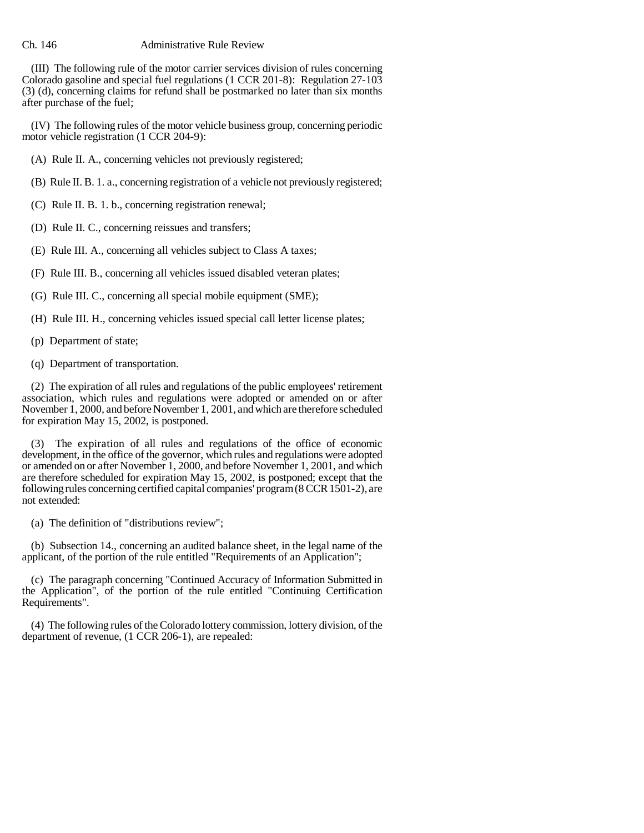(III) The following rule of the motor carrier services division of rules concerning Colorado gasoline and special fuel regulations (1 CCR 201-8): Regulation 27-103 (3) (d), concerning claims for refund shall be postmarked no later than six months after purchase of the fuel;

(IV) The following rules of the motor vehicle business group, concerning periodic motor vehicle registration (1 CCR 204-9):

(A) Rule II. A., concerning vehicles not previously registered;

- (B) Rule II. B. 1. a., concerning registration of a vehicle not previously registered;
- (C) Rule II. B. 1. b., concerning registration renewal;
- (D) Rule II. C., concerning reissues and transfers;
- (E) Rule III. A., concerning all vehicles subject to Class A taxes;
- (F) Rule III. B., concerning all vehicles issued disabled veteran plates;
- (G) Rule III. C., concerning all special mobile equipment (SME);
- (H) Rule III. H., concerning vehicles issued special call letter license plates;
- (p) Department of state;
- (q) Department of transportation.

(2) The expiration of all rules and regulations of the public employees' retirement association, which rules and regulations were adopted or amended on or after November 1, 2000, and before November 1, 2001, and which are therefore scheduled for expiration May 15, 2002, is postponed.

(3) The expiration of all rules and regulations of the office of economic development, in the office of the governor, which rules and regulations were adopted or amended on or after November 1, 2000, and before November 1, 2001, and which are therefore scheduled for expiration May 15, 2002, is postponed; except that the following rules concerning certified capital companies' program (8 CCR 1501-2), are not extended:

(a) The definition of "distributions review";

(b) Subsection 14., concerning an audited balance sheet, in the legal name of the applicant, of the portion of the rule entitled "Requirements of an Application";

(c) The paragraph concerning "Continued Accuracy of Information Submitted in the Application", of the portion of the rule entitled "Continuing Certification Requirements".

(4) The following rules of the Colorado lottery commission, lottery division, of the department of revenue, (1 CCR 206-1), are repealed: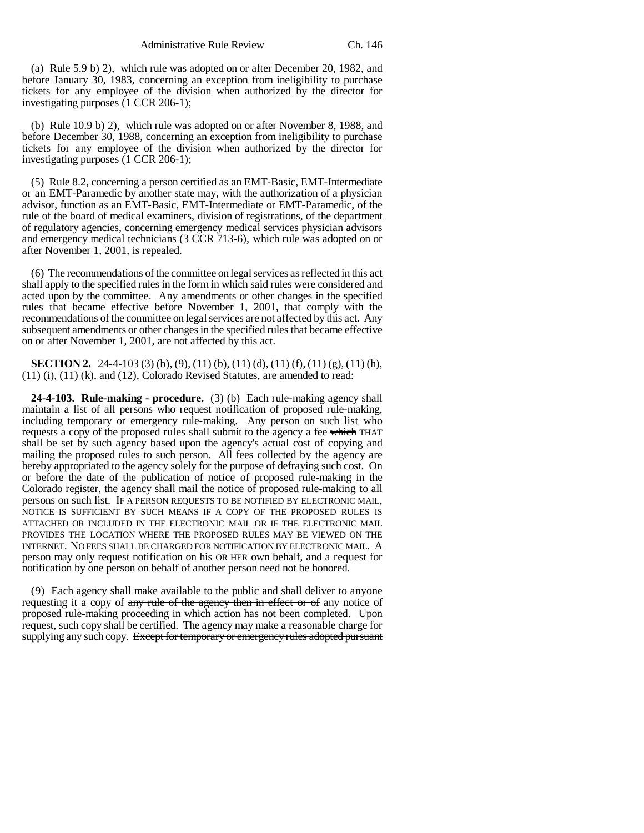(a) Rule 5.9 b) 2), which rule was adopted on or after December 20, 1982, and before January 30, 1983, concerning an exception from ineligibility to purchase tickets for any employee of the division when authorized by the director for investigating purposes (1 CCR 206-1);

(b) Rule 10.9 b) 2), which rule was adopted on or after November 8, 1988, and before December 30, 1988, concerning an exception from ineligibility to purchase tickets for any employee of the division when authorized by the director for investigating purposes (1 CCR 206-1);

(5) Rule 8.2, concerning a person certified as an EMT-Basic, EMT-Intermediate or an EMT-Paramedic by another state may, with the authorization of a physician advisor, function as an EMT-Basic, EMT-Intermediate or EMT-Paramedic, of the rule of the board of medical examiners, division of registrations, of the department of regulatory agencies, concerning emergency medical services physician advisors and emergency medical technicians (3 CCR 713-6), which rule was adopted on or after November 1, 2001, is repealed.

(6) The recommendations of the committee on legal services as reflected in this act shall apply to the specified rules in the form in which said rules were considered and acted upon by the committee. Any amendments or other changes in the specified rules that became effective before November 1, 2001, that comply with the recommendations of the committee on legal services are not affected by this act. Any subsequent amendments or other changes in the specified rules that became effective on or after November 1, 2001, are not affected by this act.

**SECTION 2.** 24-4-103 (3) (b), (9), (11) (b), (11) (d), (11) (f), (11) (g), (11) (h), (11) (i), (11) (k), and (12), Colorado Revised Statutes, are amended to read:

**24-4-103. Rule-making - procedure.** (3) (b) Each rule-making agency shall maintain a list of all persons who request notification of proposed rule-making, including temporary or emergency rule-making. Any person on such list who requests a copy of the proposed rules shall submit to the agency a fee which THAT shall be set by such agency based upon the agency's actual cost of copying and mailing the proposed rules to such person. All fees collected by the agency are hereby appropriated to the agency solely for the purpose of defraying such cost. On or before the date of the publication of notice of proposed rule-making in the Colorado register, the agency shall mail the notice of proposed rule-making to all persons on such list. IF A PERSON REQUESTS TO BE NOTIFIED BY ELECTRONIC MAIL, NOTICE IS SUFFICIENT BY SUCH MEANS IF A COPY OF THE PROPOSED RULES IS ATTACHED OR INCLUDED IN THE ELECTRONIC MAIL OR IF THE ELECTRONIC MAIL PROVIDES THE LOCATION WHERE THE PROPOSED RULES MAY BE VIEWED ON THE INTERNET. NO FEES SHALL BE CHARGED FOR NOTIFICATION BY ELECTRONIC MAIL. A person may only request notification on his OR HER own behalf, and a request for notification by one person on behalf of another person need not be honored.

(9) Each agency shall make available to the public and shall deliver to anyone requesting it a copy of any rule of the agency then in effect or of any notice of proposed rule-making proceeding in which action has not been completed. Upon request, such copy shall be certified. The agency may make a reasonable charge for supplying any such copy. Except for temporary or emergency rules adopted pursuant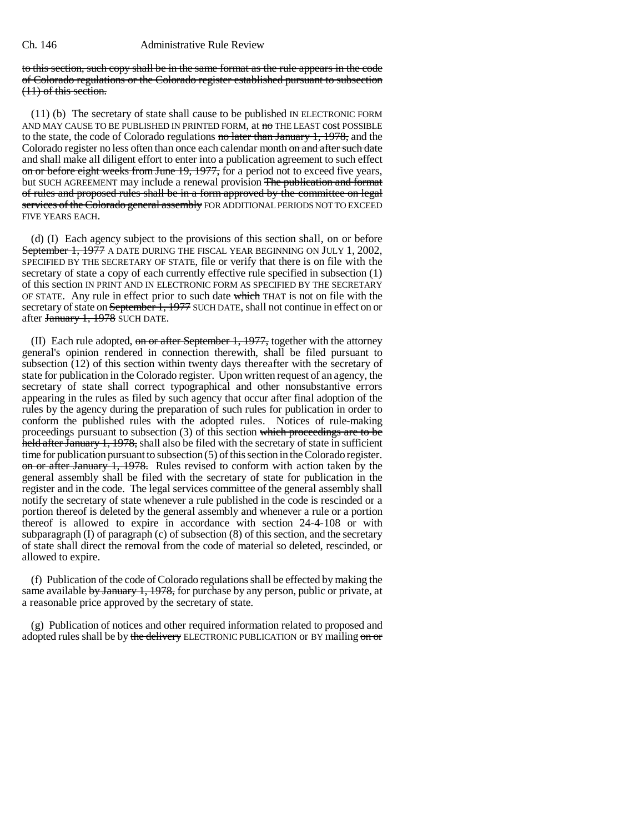to this section, such copy shall be in the same format as the rule appears in the code of Colorado regulations or the Colorado register established pursuant to subsection (11) of this section.

(11) (b) The secretary of state shall cause to be published IN ELECTRONIC FORM AND MAY CAUSE TO BE PUBLISHED IN PRINTED FORM, at  $\overline{\text{no}}$  THE LEAST cost POSSIBLE to the state, the code of Colorado regulations no later than January 1, 1978, and the Colorado register no less often than once each calendar month on and after such date and shall make all diligent effort to enter into a publication agreement to such effect on or before eight weeks from June 19, 1977, for a period not to exceed five years, but SUCH AGREEMENT may include a renewal provision The publication and format of rules and proposed rules shall be in a form approved by the committee on legal services of the Colorado general assembly FOR ADDITIONAL PERIODS NOT TO EXCEED FIVE YEARS EACH.

(d) (I) Each agency subject to the provisions of this section shall, on or before September 1, 1977 A DATE DURING THE FISCAL YEAR BEGINNING ON JULY 1, 2002, SPECIFIED BY THE SECRETARY OF STATE, file or verify that there is on file with the secretary of state a copy of each currently effective rule specified in subsection (1) of this section IN PRINT AND IN ELECTRONIC FORM AS SPECIFIED BY THE SECRETARY OF STATE. Any rule in effect prior to such date which THAT is not on file with the secretary of state on September 1, 1977 SUCH DATE, shall not continue in effect on or after January 1, 1978 SUCH DATE.

(II) Each rule adopted, on or after September 1, 1977, together with the attorney general's opinion rendered in connection therewith, shall be filed pursuant to subsection  $(12)$  of this section within twenty days thereafter with the secretary of state for publication in the Colorado register. Upon written request of an agency, the secretary of state shall correct typographical and other nonsubstantive errors appearing in the rules as filed by such agency that occur after final adoption of the rules by the agency during the preparation of such rules for publication in order to conform the published rules with the adopted rules. Notices of rule-making proceedings pursuant to subsection (3) of this section which proceedings are to be held after January 1, 1978, shall also be filed with the secretary of state in sufficient time for publication pursuant to subsection (5) of this section in the Colorado register. on or after January 1, 1978. Rules revised to conform with action taken by the general assembly shall be filed with the secretary of state for publication in the register and in the code. The legal services committee of the general assembly shall notify the secretary of state whenever a rule published in the code is rescinded or a portion thereof is deleted by the general assembly and whenever a rule or a portion thereof is allowed to expire in accordance with section 24-4-108 or with subparagraph (I) of paragraph (c) of subsection (8) of this section, and the secretary of state shall direct the removal from the code of material so deleted, rescinded, or allowed to expire.

(f) Publication of the code of Colorado regulations shall be effected by making the same available by January 1, 1978, for purchase by any person, public or private, at a reasonable price approved by the secretary of state.

(g) Publication of notices and other required information related to proposed and adopted rules shall be by the delivery ELECTRONIC PUBLICATION or BY mailing on or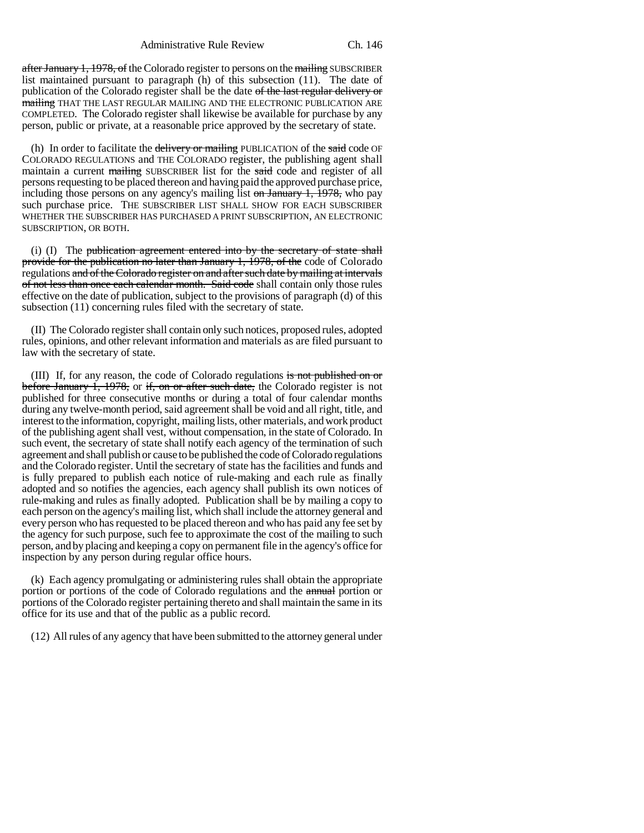Administrative Rule Review Ch. 146

after January 1, 1978, of the Colorado register to persons on the mailing SUBSCRIBER list maintained pursuant to paragraph (h) of this subsection (11). The date of publication of the Colorado register shall be the date of the last regular delivery or mailing THAT THE LAST REGULAR MAILING AND THE ELECTRONIC PUBLICATION ARE COMPLETED. The Colorado register shall likewise be available for purchase by any person, public or private, at a reasonable price approved by the secretary of state.

(h) In order to facilitate the delivery or mailing PUBLICATION of the said code OF COLORADO REGULATIONS and THE COLORADO register, the publishing agent shall maintain a current mailing SUBSCRIBER list for the said code and register of all persons requesting to be placed thereon and having paid the approved purchase price, including those persons on any agency's mailing list on January 1, 1978, who pay such purchase price. THE SUBSCRIBER LIST SHALL SHOW FOR EACH SUBSCRIBER WHETHER THE SUBSCRIBER HAS PURCHASED A PRINT SUBSCRIPTION, AN ELECTRONIC SUBSCRIPTION, OR BOTH.

(i) (I) The publication agreement entered into by the secretary of state shall provide for the publication no later than January 1, 1978, of the code of Colorado regulations and of the Colorado register on and after such date by mailing at intervals of not less than once each calendar month. Said code shall contain only those rules effective on the date of publication, subject to the provisions of paragraph (d) of this subsection (11) concerning rules filed with the secretary of state.

(II) The Colorado register shall contain only such notices, proposed rules, adopted rules, opinions, and other relevant information and materials as are filed pursuant to law with the secretary of state.

(III) If, for any reason, the code of Colorado regulations is not published on or before January 1, 1978, or if, on or after such date, the Colorado register is not published for three consecutive months or during a total of four calendar months during any twelve-month period, said agreement shall be void and all right, title, and interest to the information, copyright, mailing lists, other materials, and work product of the publishing agent shall vest, without compensation, in the state of Colorado. In such event, the secretary of state shall notify each agency of the termination of such agreement and shall publish or cause to be published the code of Colorado regulations and the Colorado register. Until the secretary of state has the facilities and funds and is fully prepared to publish each notice of rule-making and each rule as finally adopted and so notifies the agencies, each agency shall publish its own notices of rule-making and rules as finally adopted. Publication shall be by mailing a copy to each person on the agency's mailing list, which shall include the attorney general and every person who has requested to be placed thereon and who has paid any fee set by the agency for such purpose, such fee to approximate the cost of the mailing to such person, and by placing and keeping a copy on permanent file in the agency's office for inspection by any person during regular office hours.

(k) Each agency promulgating or administering rules shall obtain the appropriate portion or portions of the code of Colorado regulations and the **annual** portion or portions of the Colorado register pertaining thereto and shall maintain the same in its office for its use and that of the public as a public record.

(12) All rules of any agency that have been submitted to the attorney general under